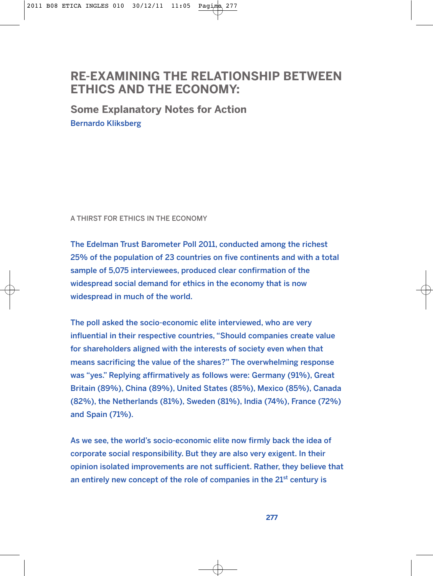# **RE-EXAMINING THE RELATIONSHIP BETWEEN ETHICS AND THE ECONOMY:**

**Some Explanatory Notes for Action** Bernardo Kliksberg

A THIRST FOR ETHICS IN THE ECONOMY

The Edelman Trust Barometer Poll 2011, conducted among the richest 25% of the population of 23 countries on five continents and with a total sample of 5,075 interviewees, produced clear confirmation of the widespread social demand for ethics in the economy that is now widespread in much of the world.

The poll asked the socio-economic elite interviewed, who are very influential in their respective countries, "Should companies create value for shareholders aligned with the interests of society even when that means sacrificing the value of the shares?" The overwhelming response was "yes." Replying affirmatively as follows were: Germany (91%), Great Britain (89%), China (89%), United States (85%), Mexico (85%), Canada (82%), the Netherlands (81%), Sweden (81%), India (74%), France (72%) and Spain (71%).

As we see, the world's socio-economic elite now firmly back the idea of corporate social responsibility. But they are also very exigent. In their opinion isolated improvements are not sufficient. Rather, they believe that an entirely new concept of the role of companies in the  $21<sup>st</sup>$  century is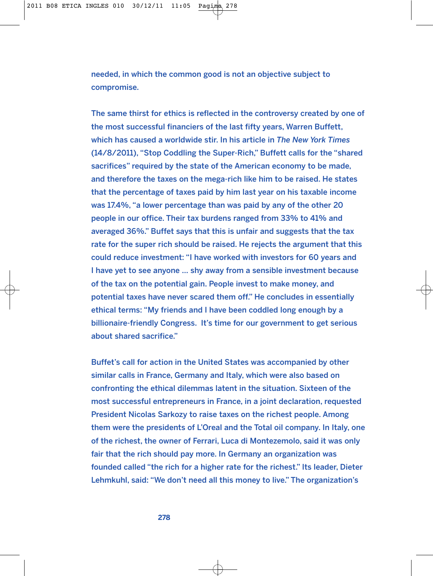needed, in which the common good is not an objective subject to compromise.

The same thirst for ethics is reflected in the controversy created by one of the most successful financiers of the last fifty years, Warren Buffett, which has caused a worldwide stir. In his article in *The New York Times* (14/8/2011), "Stop Coddling the Super-Rich," Buffett calls for the "shared sacrifices" required by the state of the American economy to be made, and therefore the taxes on the mega-rich like him to be raised. He states that the percentage of taxes paid by him last year on his taxable income was 17.4%, "a lower percentage than was paid by any of the other 20 people in our office. Their tax burdens ranged from 33% to 41% and averaged 36%." Buffet says that this is unfair and suggests that the tax rate for the super rich should be raised. He rejects the argument that this could reduce investment: "I have worked with investors for 60 years and I have yet to see anyone … shy away from a sensible investment because of the tax on the potential gain. People invest to make money, and potential taxes have never scared them off." He concludes in essentially ethical terms: "My friends and I have been coddled long enough by a billionaire-friendly Congress. It's time for our government to get serious about shared sacrifice."

Buffet's call for action in the United States was accompanied by other similar calls in France, Germany and Italy, which were also based on confronting the ethical dilemmas latent in the situation. Sixteen of the most successful entrepreneurs in France, in a joint declaration, requested President Nicolas Sarkozy to raise taxes on the richest people. Among them were the presidents of L'Oreal and the Total oil company. In Italy, one of the richest, the owner of Ferrari, Luca di Montezemolo, said it was only fair that the rich should pay more. In Germany an organization was founded called "the rich for a higher rate for the richest." Its leader, Dieter Lehmkuhl, said: "We don't need all this money to live." The organization's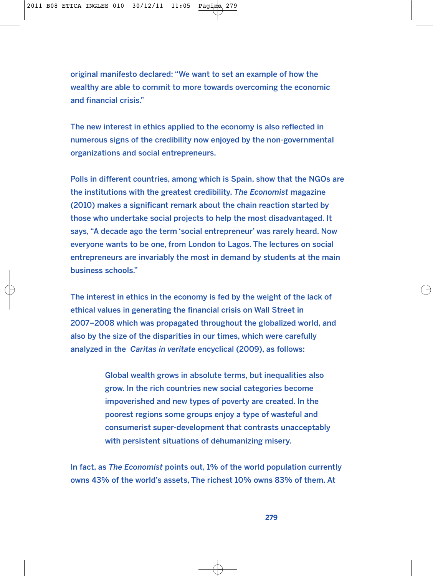original manifesto declared: "We want to set an example of how the wealthy are able to commit to more towards overcoming the economic and financial crisis."

The new interest in ethics applied to the economy is also reflected in numerous signs of the credibility now enjoyed by the non-governmental organizations and social entrepreneurs.

Polls in different countries, among which is Spain, show that the NGOs are the institutions with the greatest credibility. *The Economist* magazine (2010) makes a significant remark about the chain reaction started by those who undertake social projects to help the most disadvantaged. It says, "A decade ago the term 'social entrepreneur' was rarely heard. Now everyone wants to be one, from London to Lagos. The lectures on social entrepreneurs are invariably the most in demand by students at the main business schools."

The interest in ethics in the economy is fed by the weight of the lack of ethical values in generating the financial crisis on Wall Street in 2007–2008 which was propagated throughout the globalized world, and also by the size of the disparities in our times, which were carefully analyzed in the *Caritas in veritate* encyclical (2009), as follows:

> Global wealth grows in absolute terms, but inequalities also grow. In the rich countries new social categories become impoverished and new types of poverty are created. In the poorest regions some groups enjoy a type of wasteful and consumerist super-development that contrasts unacceptably with persistent situations of dehumanizing misery.

In fact, as *The Economist* points out, 1% of the world population currently owns 43% of the world's assets, The richest 10% owns 83% of them. At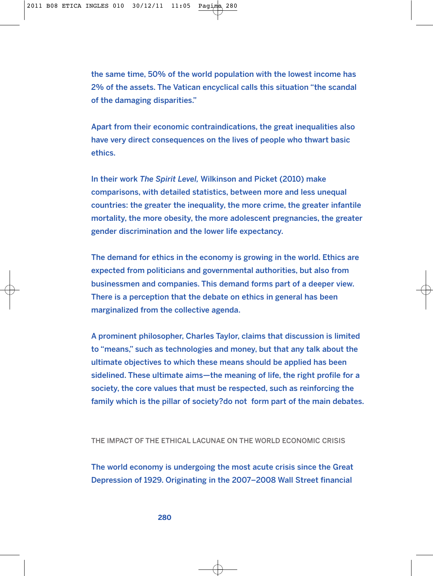the same time, 50% of the world population with the lowest income has 2% of the assets. The Vatican encyclical calls this situation "the scandal of the damaging disparities."

Apart from their economic contraindications, the great inequalities also have very direct consequences on the lives of people who thwart basic ethics.

In their work *The Spirit Level,* Wilkinson and Picket (2010) make comparisons, with detailed statistics, between more and less unequal countries: the greater the inequality, the more crime, the greater infantile mortality, the more obesity, the more adolescent pregnancies, the greater gender discrimination and the lower life expectancy.

The demand for ethics in the economy is growing in the world. Ethics are expected from politicians and governmental authorities, but also from businessmen and companies. This demand forms part of a deeper view. There is a perception that the debate on ethics in general has been marginalized from the collective agenda.

A prominent philosopher, Charles Taylor, claims that discussion is limited to "means," such as technologies and money, but that any talk about the ultimate objectives to which these means should be applied has been sidelined. These ultimate aims—the meaning of life, the right profile for a society, the core values that must be respected, such as reinforcing the family which is the pillar of society?do not form part of the main debates.

THE IMPACT OF THE ETHICAL LACUNAE ON THE WORLD ECONOMIC CRISIS

The world economy is undergoing the most acute crisis since the Great Depression of 1929. Originating in the 2007–2008 Wall Street financial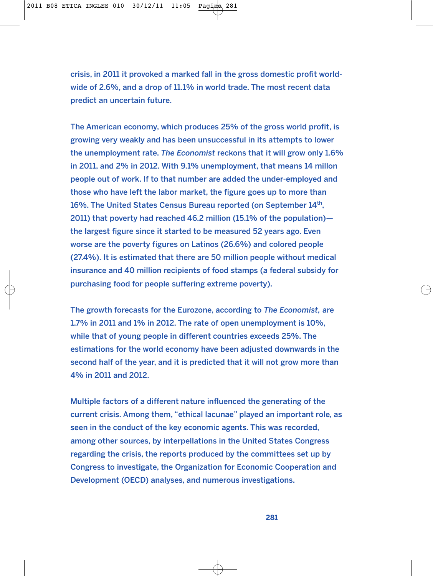crisis, in 2011 it provoked a marked fall in the gross domestic profit worldwide of 2.6%, and a drop of 11.1% in world trade. The most recent data predict an uncertain future.

The American economy, which produces 25% of the gross world profit, is growing very weakly and has been unsuccessful in its attempts to lower the unemployment rate. *The Economist* reckons that it will grow only 1.6% in 2011, and 2% in 2012. With 9.1% unemployment, that means 14 millon people out of work. If to that number are added the under-employed and those who have left the labor market, the figure goes up to more than 16%. The United States Census Bureau reported (on September 14th, 2011) that poverty had reached 46.2 million (15.1% of the population) the largest figure since it started to be measured 52 years ago. Even worse are the poverty figures on Latinos (26.6%) and colored people (27.4%). It is estimated that there are 50 million people without medical insurance and 40 million recipients of food stamps (a federal subsidy for purchasing food for people suffering extreme poverty).

The growth forecasts for the Eurozone, according to *The Economist,* are 1.7% in 2011 and 1% in 2012. The rate of open unemployment is 10%, while that of young people in different countries exceeds 25%. The estimations for the world economy have been adjusted downwards in the second half of the year, and it is predicted that it will not grow more than 4% in 2011 and 2012.

Multiple factors of a different nature influenced the generating of the current crisis. Among them, "ethical lacunae" played an important role, as seen in the conduct of the key economic agents. This was recorded, among other sources, by interpellations in the United States Congress regarding the crisis, the reports produced by the committees set up by Congress to investigate, the Organization for Economic Cooperation and Development (OECD) analyses, and numerous investigations.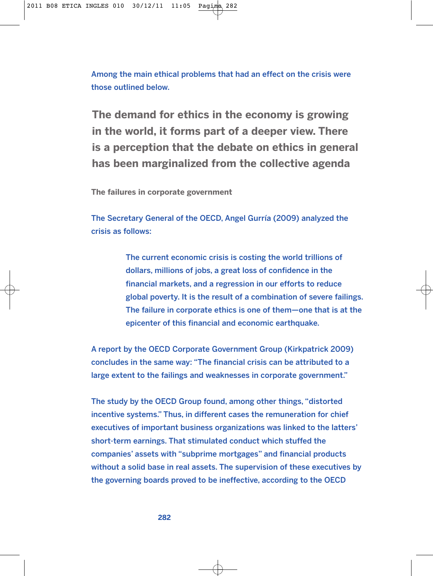Among the main ethical problems that had an effect on the crisis were those outlined below.

**The demand for ethics in the economy is growing in the world, it forms part of a deeper view. There is a perception that the debate on ethics in general has been marginalized from the collective agenda**

**The failures in corporate government**

The Secretary General of the OECD, Angel Gurría (2009) analyzed the crisis as follows:

> The current economic crisis is costing the world trillions of dollars, millions of jobs, a great loss of confidence in the financial markets, and a regression in our efforts to reduce global poverty. It is the result of a combination of severe failings. The failure in corporate ethics is one of them—one that is at the epicenter of this financial and economic earthquake.

A report by the OECD Corporate Government Group (Kirkpatrick 2009) concludes in the same way: "The financial crisis can be attributed to a large extent to the failings and weaknesses in corporate government."

The study by the OECD Group found, among other things, "distorted incentive systems." Thus, in different cases the remuneration for chief executives of important business organizations was linked to the latters' short-term earnings. That stimulated conduct which stuffed the companies' assets with "subprime mortgages" and financial products without a solid base in real assets. The supervision of these executives by the governing boards proved to be ineffective, according to the OECD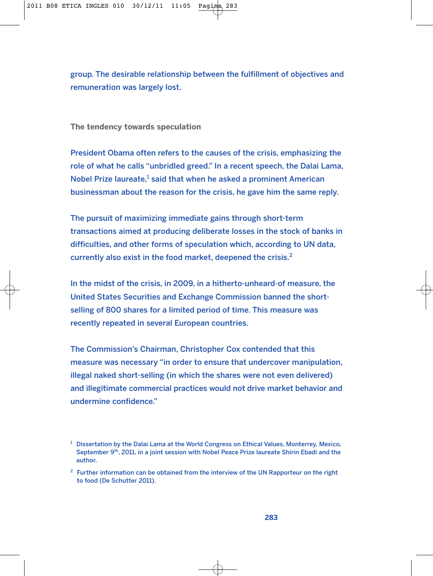group. The desirable relationship between the fulfillment of objectives and remuneration was largely lost.

**The tendency towards speculation**

President Obama often refers to the causes of the crisis, emphasizing the role of what he calls "unbridled greed." In a recent speech, the Dalai Lama, Nobel Prize laureate,<sup>1</sup> said that when he asked a prominent American businessman about the reason for the crisis, he gave him the same reply.

The pursuit of maximizing immediate gains through short-term transactions aimed at producing deliberate losses in the stock of banks in difficulties, and other forms of speculation which, according to UN data, currently also exist in the food market, deepened the crisis.<sup>2</sup>

In the midst of the crisis, in 2009, in a hitherto-unheard-of measure, the United States Securities and Exchange Commission banned the shortselling of 800 shares for a limited period of time. This measure was recently repeated in several European countries.

The Commission's Chairman, Christopher Cox contended that this measure was necessary "in order to ensure that undercover manipulation, illegal naked short-selling (in which the shares were not even delivered) and illegitimate commercial practices would not drive market behavior and undermine confidence."

 $<sup>1</sup>$  Dissertation by the Dalai Lama at the World Congress on Ethical Values, Monterrey, Mexico,</sup> September 9<sup>th</sup>, 2011, in a joint session with Nobel Peace Prize laureate Shirin Ebadi and the author.

 $2$  Further information can be obtained from the interview of the UN Rapporteur on the right to food (De Schutter 2011).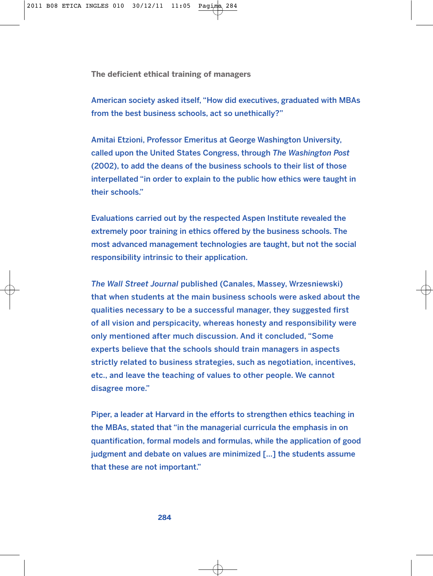**The deficient ethical training of managers**

American society asked itself, "How did executives, graduated with MBAs from the best business schools, act so unethically?"

Amitai Etzioni, Professor Emeritus at George Washington University, called upon the United States Congress, through *The Washington Post* (2002), to add the deans of the business schools to their list of those interpellated "in order to explain to the public how ethics were taught in their schools."

Evaluations carried out by the respected Aspen Institute revealed the extremely poor training in ethics offered by the business schools. The most advanced management technologies are taught, but not the social responsibility intrinsic to their application.

*The Wall Street Journal* published (Canales, Massey, Wrzesniewski) that when students at the main business schools were asked about the qualities necessary to be a successful manager, they suggested first of all vision and perspicacity, whereas honesty and responsibility were only mentioned after much discussion. And it concluded, "Some experts believe that the schools should train managers in aspects strictly related to business strategies, such as negotiation, incentives, etc., and leave the teaching of values to other people. We cannot disagree more."

Piper, a leader at Harvard in the efforts to strengthen ethics teaching in the MBAs, stated that "in the managerial curricula the emphasis in on quantification, formal models and formulas, while the application of good judgment and debate on values are minimized […] the students assume that these are not important."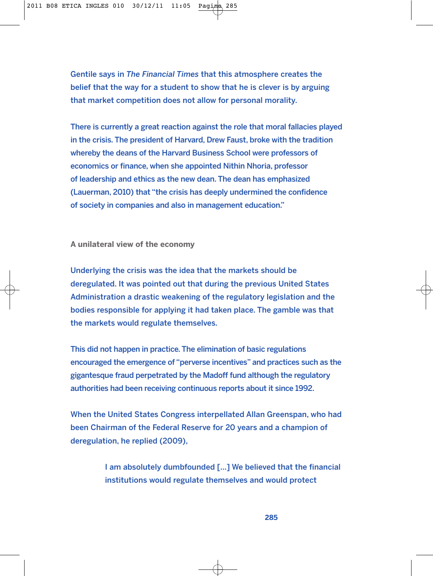Gentile says in *The Financial Times* that this atmosphere creates the belief that the way for a student to show that he is clever is by arguing that market competition does not allow for personal morality.

There is currently a great reaction against the role that moral fallacies played in the crisis. The president of Harvard, Drew Faust, broke with the tradition whereby the deans of the Harvard Business School were professors of economics or finance, when she appointed Nithin Nhoria, professor of leadership and ethics as the new dean. The dean has emphasized (Lauerman, 2010) that "the crisis has deeply undermined the confidence of society in companies and also in management education."

**A unilateral view of the economy**

Underlying the crisis was the idea that the markets should be deregulated. It was pointed out that during the previous United States Administration a drastic weakening of the regulatory legislation and the bodies responsible for applying it had taken place. The gamble was that the markets would regulate themselves.

This did not happen in practice. The elimination of basic regulations encouraged the emergence of "perverse incentives" and practices such as the gigantesque fraud perpetrated by the Madoff fund although the regulatory authorities had been receiving continuous reports about it since 1992.

When the United States Congress interpellated Allan Greenspan, who had been Chairman of the Federal Reserve for 20 years and a champion of deregulation, he replied (2009),

> I am absolutely dumbfounded […] We believed that the financial institutions would regulate themselves and would protect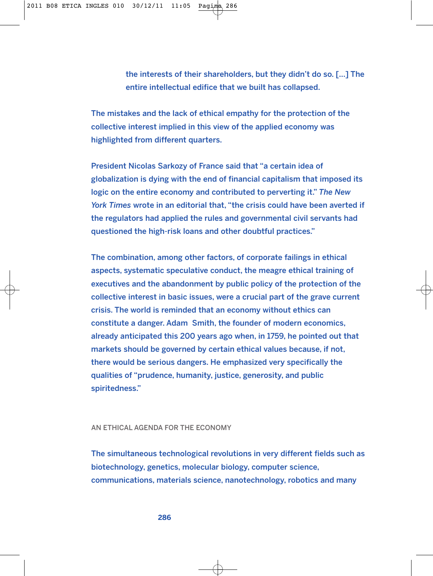the interests of their shareholders, but they didn't do so. [...] The entire intellectual edifice that we built has collapsed.

The mistakes and the lack of ethical empathy for the protection of the collective interest implied in this view of the applied economy was highlighted from different quarters.

President Nicolas Sarkozy of France said that "a certain idea of globalization is dying with the end of financial capitalism that imposed its logic on the entire economy and contributed to perverting it." *The New York Times* wrote in an editorial that, "the crisis could have been averted if the regulators had applied the rules and governmental civil servants had questioned the high-risk loans and other doubtful practices."

The combination, among other factors, of corporate failings in ethical aspects, systematic speculative conduct, the meagre ethical training of executives and the abandonment by public policy of the protection of the collective interest in basic issues, were a crucial part of the grave current crisis. The world is reminded that an economy without ethics can constitute a danger. Adam Smith, the founder of modern economics, already anticipated this 200 years ago when, in 1759, he pointed out that markets should be governed by certain ethical values because, if not, there would be serious dangers. He emphasized very specifically the qualities of "prudence, humanity, justice, generosity, and public spiritedness."

## AN ETHICAL AGENDA FOR THE ECONOMY

The simultaneous technological revolutions in very different fields such as biotechnology, genetics, molecular biology, computer science, communications, materials science, nanotechnology, robotics and many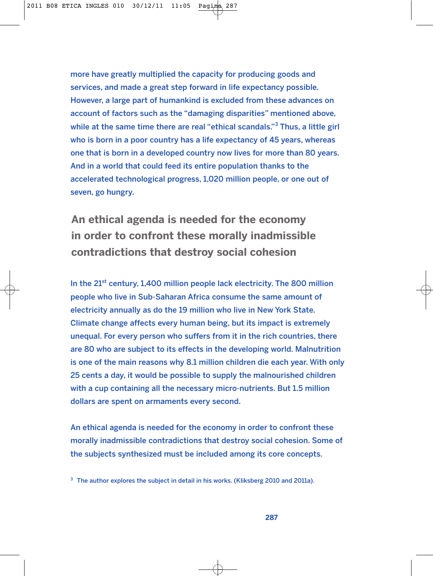more have greatly multiplied the capacity for producing goods and services, and made a great step forward in life expectancy possible. However, a large part of humankind is excluded from these advances on account of factors such as the "damaging disparities" mentioned above, while at the same time there are real "ethical scandals." $3$  Thus, a little girl who is born in a poor country has a life expectancy of 45 years, whereas one that is born in a developed country now lives for more than 80 years. And in a world that could feed its entire population thanks to the accelerated technological progress, 1,020 million people, or one out of seven, go hungry.

**An ethical agenda is needed for the economy in order to confront these morally inadmissible contradictions that destroy social cohesion**

In the 21<sup>st</sup> century, 1,400 million people lack electricity. The 800 million people who live in Sub-Saharan Africa consume the same amount of electricity annually as do the 19 million who live in New York State. Climate change affects every human being, but its impact is extremely unequal. For every person who suffers from it in the rich countries, there are 80 who are subject to its effects in the developing world. Malnutrition is one of the main reasons why 8.1 million children die each year. With only 25 cents a day, it would be possible to supply the malnourished children with a cup containing all the necessary micro-nutrients. But 1.5 million dollars are spent on armaments every second.

An ethical agenda is needed for the economy in order to confront these morally inadmissible contradictions that destroy social cohesion. Some of the subjects synthesized must be included among its core concepts.

<sup>3</sup> The author explores the subject in detail in his works. (Kliksberg 2010 and 2011a).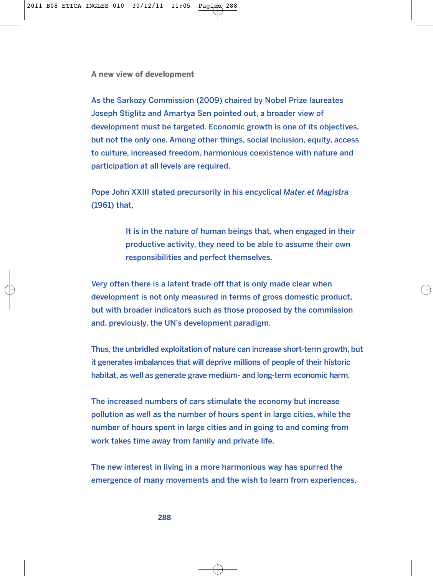**A new view of development**

As the Sarkozy Commission (2009) chaired by Nobel Prize laureates Joseph Stiglitz and Amartya Sen pointed out, a broader view of development must be targeted. Economic growth is one of its objectives, but not the only one. Among other things, social inclusion, equity, access to culture, increased freedom, harmonious coexistence with nature and participation at all levels are required.

Pope John XXIII stated precursorily in his encyclical *Mater et Magistra* (1961) that,

> It is in the nature of human beings that, when engaged in their productive activity, they need to be able to assume their own responsibilities and perfect themselves.

Very often there is a latent trade-off that is only made clear when development is not only measured in terms of gross domestic product, but with broader indicators such as those proposed by the commission and, previously, the UN's development paradigm.

Thus, the unbridled exploitation of nature can increase short-term growth, but it generates imbalances that will deprive millions of people of their historic habitat, as well as generate grave medium- and long-term economic harm.

The increased numbers of cars stimulate the economy but increase pollution as well as the number of hours spent in large cities, while the number of hours spent in large cities and in going to and coming from work takes time away from family and private life.

The new interest in living in a more harmonious way has spurred the emergence of many movements and the wish to learn from experiences,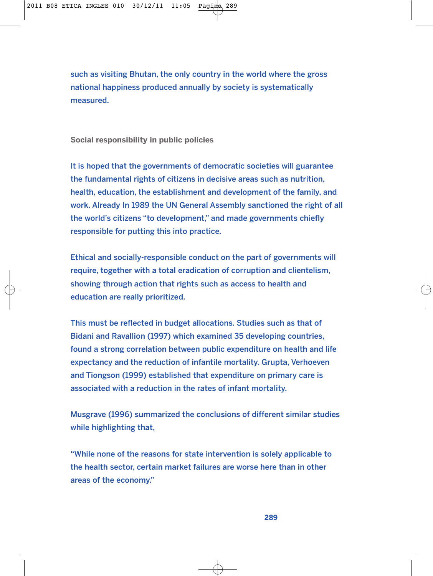such as visiting Bhutan, the only country in the world where the gross national happiness produced annually by society is systematically measured.

**Social responsibility in public policies**

It is hoped that the governments of democratic societies will guarantee the fundamental rights of citizens in decisive areas such as nutrition, health, education, the establishment and development of the family, and work. Already In 1989 the UN General Assembly sanctioned the right of all the world's citizens "to development," and made governments chiefly responsible for putting this into practice.

Ethical and socially-responsible conduct on the part of governments will require, together with a total eradication of corruption and clientelism, showing through action that rights such as access to health and education are really prioritized.

This must be reflected in budget allocations. Studies such as that of Bidani and Ravallion (1997) which examined 35 developing countries, found a strong correlation between public expenditure on health and life expectancy and the reduction of infantile mortality. Grupta, Verhoeven and Tiongson (1999) established that expenditure on primary care is associated with a reduction in the rates of infant mortality.

Musgrave (1996) summarized the conclusions of different similar studies while highlighting that,

"While none of the reasons for state intervention is solely applicable to the health sector, certain market failures are worse here than in other areas of the economy."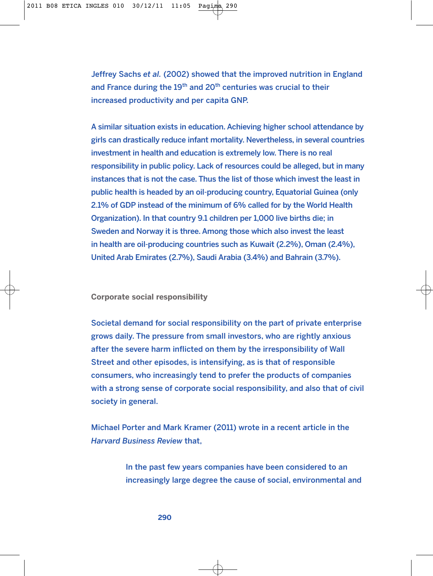Jeffrey Sachs *et al.* (2002) showed that the improved nutrition in England and France during the  $19<sup>th</sup>$  and  $20<sup>th</sup>$  centuries was crucial to their increased productivity and per capita GNP.

A similar situation exists in education. Achieving higher school attendance by girls can drastically reduce infant mortality. Nevertheless, in several countries investment in health and education is extremely low. There is no real responsibility in public policy. Lack of resources could be alleged, but in many instances that is not the case. Thus the list of those which invest the least in public health is headed by an oil-producing country, Equatorial Guinea (only 2.1% of GDP instead of the minimum of 6% called for by the World Health Organization). In that country 9.1 children per 1,000 live births die; in Sweden and Norway it is three. Among those which also invest the least in health are oil-producing countries such as Kuwait (2.2%), Oman (2.4%), United Arab Emirates (2.7%), Saudi Arabia (3.4%) and Bahrain (3.7%).

**Corporate social responsibility**

Societal demand for social responsibility on the part of private enterprise grows daily. The pressure from small investors, who are rightly anxious after the severe harm inflicted on them by the irresponsibility of Wall Street and other episodes, is intensifying, as is that of responsible consumers, who increasingly tend to prefer the products of companies with a strong sense of corporate social responsibility, and also that of civil society in general.

Michael Porter and Mark Kramer (2011) wrote in a recent article in the *Harvard Business Review* that,

> In the past few years companies have been considered to an increasingly large degree the cause of social, environmental and

> > **290**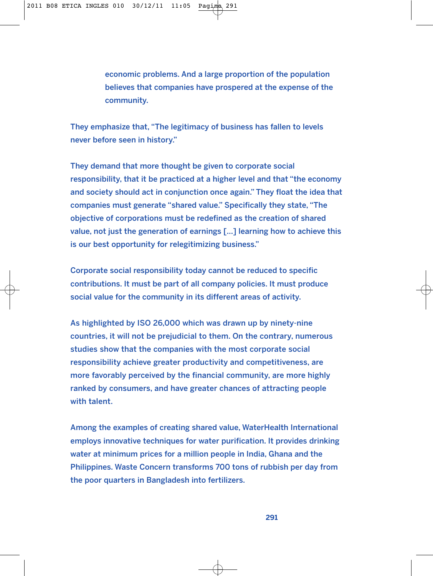economic problems. And a large proportion of the population believes that companies have prospered at the expense of the community.

They emphasize that, "The legitimacy of business has fallen to levels never before seen in history."

They demand that more thought be given to corporate social responsibility, that it be practiced at a higher level and that "the economy and society should act in conjunction once again." They float the idea that companies must generate "shared value." Specifically they state, "The objective of corporations must be redefined as the creation of shared value, not just the generation of earnings […] learning how to achieve this is our best opportunity for relegitimizing business."

Corporate social responsibility today cannot be reduced to specific contributions. It must be part of all company policies. It must produce social value for the community in its different areas of activity.

As highlighted by ISO 26,000 which was drawn up by ninety-nine countries, it will not be prejudicial to them. On the contrary, numerous studies show that the companies with the most corporate social responsibility achieve greater productivity and competitiveness, are more favorably perceived by the financial community, are more highly ranked by consumers, and have greater chances of attracting people with talent.

Among the examples of creating shared value, WaterHealth International employs innovative techniques for water purification. It provides drinking water at minimum prices for a million people in India, Ghana and the Philippines. Waste Concern transforms 700 tons of rubbish per day from the poor quarters in Bangladesh into fertilizers.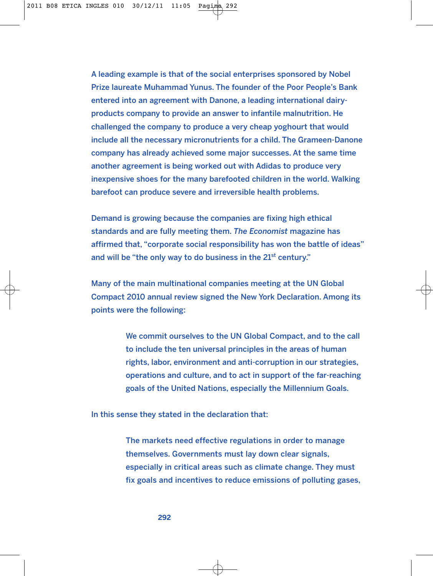A leading example is that of the social enterprises sponsored by Nobel Prize laureate Muhammad Yunus. The founder of the Poor People's Bank entered into an agreement with Danone, a leading international dairyproducts company to provide an answer to infantile malnutrition. He challenged the company to produce a very cheap yoghourt that would include all the necessary micronutrients for a child. The Grameen-Danone company has already achieved some major successes. At the same time another agreement is being worked out with Adidas to produce very inexpensive shoes for the many barefooted children in the world. Walking barefoot can produce severe and irreversible health problems.

Demand is growing because the companies are fixing high ethical standards and are fully meeting them. *The Economist* magazine has affirmed that, "corporate social responsibility has won the battle of ideas" and will be "the only way to do business in the  $21<sup>st</sup>$  century."

Many of the main multinational companies meeting at the UN Global Compact 2010 annual review signed the New York Declaration. Among its points were the following:

> We commit ourselves to the UN Global Compact, and to the call to include the ten universal principles in the areas of human rights, labor, environment and anti-corruption in our strategies, operations and culture, and to act in support of the far-reaching goals of the United Nations, especially the Millennium Goals.

In this sense they stated in the declaration that:

The markets need effective regulations in order to manage themselves. Governments must lay down clear signals, especially in critical areas such as climate change. They must fix goals and incentives to reduce emissions of polluting gases,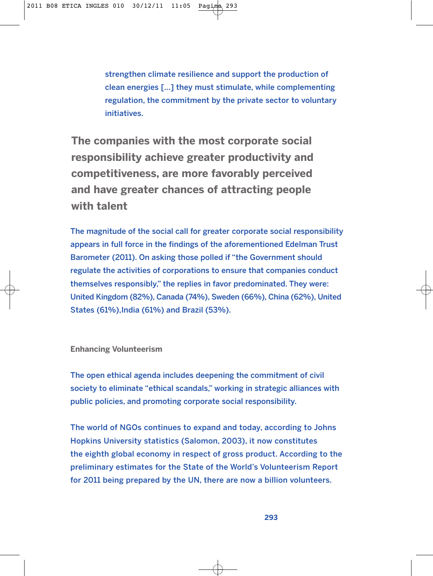strengthen climate resilience and support the production of clean energies […] they must stimulate, while complementing regulation, the commitment by the private sector to voluntary initiatives.

**The companies with the most corporate social responsibility achieve greater productivity and competitiveness, are more favorably perceived and have greater chances of attracting people with talent**

The magnitude of the social call for greater corporate social responsibility appears in full force in the findings of the aforementioned Edelman Trust Barometer (2011). On asking those polled if "the Government should regulate the activities of corporations to ensure that companies conduct themselves responsibly," the replies in favor predominated. They were: United Kingdom (82%), Canada (74%), Sweden (66%), China (62%), United States (61%),India (61%) and Brazil (53%).

## **Enhancing Volunteerism**

The open ethical agenda includes deepening the commitment of civil society to eliminate "ethical scandals," working in strategic alliances with public policies, and promoting corporate social responsibility.

The world of NGOs continues to expand and today, according to Johns Hopkins University statistics (Salomon, 2003), it now constitutes the eighth global economy in respect of gross product. According to the preliminary estimates for the State of the World's Volunteerism Report for 2011 being prepared by the UN, there are now a billion volunteers.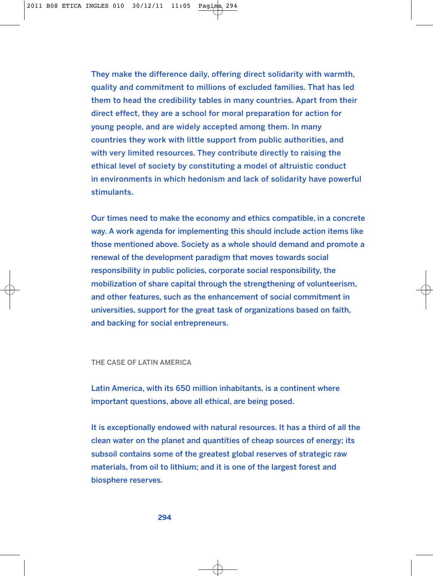They make the difference daily, offering direct solidarity with warmth, quality and commitment to millions of excluded families. That has led them to head the credibility tables in many countries. Apart from their direct effect, they are a school for moral preparation for action for young people, and are widely accepted among them. In many countries they work with little support from public authorities, and with very limited resources. They contribute directly to raising the ethical level of society by constituting a model of altruistic conduct in environments in which hedonism and lack of solidarity have powerful stimulants.

Our times need to make the economy and ethics compatible, in a concrete way. A work agenda for implementing this should include action items like those mentioned above. Society as a whole should demand and promote a renewal of the development paradigm that moves towards social responsibility in public policies, corporate social responsibility, the mobilization of share capital through the strengthening of volunteerism, and other features, such as the enhancement of social commitment in universities, support for the great task of organizations based on faith, and backing for social entrepreneurs.

### THE CASE OF LATIN AMERICA

Latin America, with its 650 million inhabitants, is a continent where important questions, above all ethical, are being posed.

It is exceptionally endowed with natural resources. It has a third of all the clean water on the planet and quantities of cheap sources of energy; its subsoil contains some of the greatest global reserves of strategic raw materials, from oil to lithium; and it is one of the largest forest and biosphere reserves.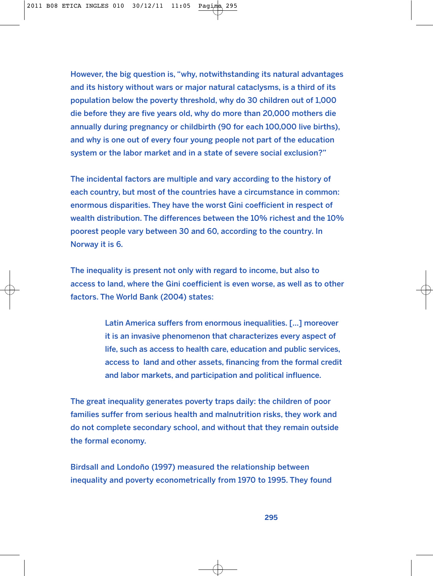However, the big question is, "why, notwithstanding its natural advantages and its history without wars or major natural cataclysms, is a third of its population below the poverty threshold, why do 30 children out of 1,000 die before they are five years old, why do more than 20,000 mothers die annually during pregnancy or childbirth (90 for each 100,000 live births), and why is one out of every four young people not part of the education system or the labor market and in a state of severe social exclusion?"

The incidental factors are multiple and vary according to the history of each country, but most of the countries have a circumstance in common: enormous disparities. They have the worst Gini coefficient in respect of wealth distribution. The differences between the 10% richest and the 10% poorest people vary between 30 and 60, according to the country. In Norway it is 6.

The inequality is present not only with regard to income, but also to access to land, where the Gini coefficient is even worse, as well as to other factors. The World Bank (2004) states:

> Latin America suffers from enormous inequalities. […] moreover it is an invasive phenomenon that characterizes every aspect of life, such as access to health care, education and public services, access to land and other assets, financing from the formal credit and labor markets, and participation and political influence.

The great inequality generates poverty traps daily: the children of poor families suffer from serious health and malnutrition risks, they work and do not complete secondary school, and without that they remain outside the formal economy.

Birdsall and Londoño (1997) measured the relationship between inequality and poverty econometrically from 1970 to 1995. They found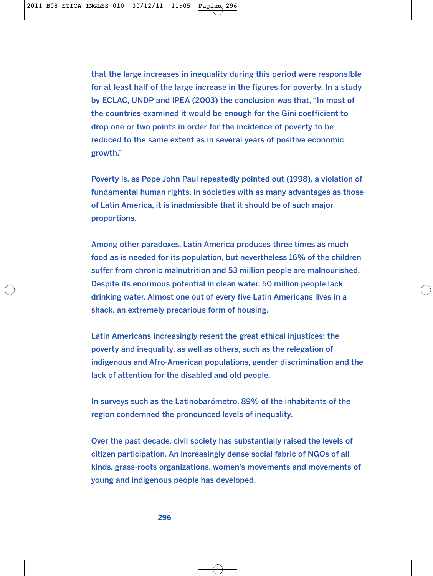that the large increases in inequality during this period were responsIble for at least half of the large increase in the figures for poverty. In a study by ECLAC, UNDP and IPEA (2003) the conclusion was that, "In most of the countries examined it would be enough for the Gini coefficient to drop one or two points in order for the incidence of poverty to be reduced to the same extent as in several years of positive economic growth."

Poverty is, as Pope John Paul repeatedly pointed out (1998), a violation of fundamental human rights. In societies with as many advantages as those of Latin America, it is inadmissible that it should be of such major proportions.

Among other paradoxes, Latin America produces three times as much food as is needed for its population, but nevertheless 16% of the children suffer from chronic malnutrition and 53 million people are malnourished. Despite its enormous potential in clean water, 50 million people lack drinking water. Almost one out of every five Latin Americans lives in a shack, an extremely precarious form of housing.

Latin Americans increasingly resent the great ethical injustices: the poverty and inequality, as well as others, such as the relegation of indigenous and Afro-American populations, gender discrimination and the lack of attention for the disabled and old people.

In surveys such as the Latinobarómetro, 89% of the inhabitants of the region condemned the pronounced levels of inequality.

Over the past decade, civil society has substantially raised the levels of citizen participation. An increasingly dense social fabric of NGOs of all kinds, grass-roots organizations, women's movements and movements of young and indigenous people has developed.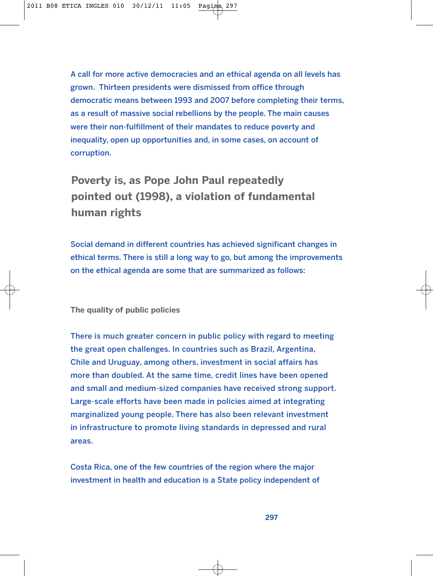A call for more active democracies and an ethical agenda on all levels has grown. Thirteen presidents were dismissed from office through democratic means between 1993 and 2007 before completing their terms, as a result of massive social rebellions by the people. The main causes were their non-fulfillment of their mandates to reduce poverty and inequality, open up opportunities and, in some cases, on account of corruption.

**Poverty is, as Pope John Paul repeatedly pointed out (1998), a violation of fundamental human rights**

Social demand in different countries has achieved significant changes in ethical terms. There is still a long way to go, but among the improvements on the ethical agenda are some that are summarized as follows:

**The quality of public policies**

There is much greater concern in public policy with regard to meeting the great open challenges. In countries such as Brazil, Argentina, Chile and Uruguay, among others, investment in social affairs has more than doubled. At the same time, credit lines have been opened and small and medium-sized companies have received strong support. Large-scale efforts have been made in policies aimed at integrating marginalized young people. There has also been relevant investment in infrastructure to promote living standards in depressed and rural areas.

Costa Rica, one of the few countries of the region where the major investment in health and education is a State policy independent of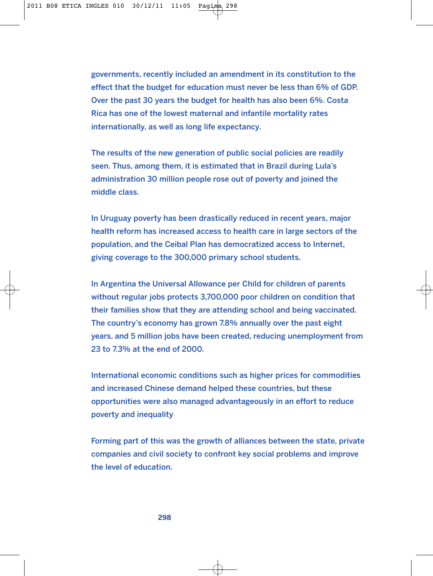governments, recently included an amendment in its constitution to the effect that the budget for education must never be less than 6% of GDP. Over the past 30 years the budget for health has also been 6%. Costa Rica has one of the lowest maternal and infantile mortality rates internationally, as well as long life expectancy.

The results of the new generation of public social policies are readily seen. Thus, among them, it is estimated that in Brazil during Lula's administration 30 million people rose out of poverty and joined the middle class.

In Uruguay poverty has been drastically reduced in recent years, major health reform has increased access to health care in large sectors of the population, and the Ceibal Plan has democratized access to Internet, giving coverage to the 300,000 primary school students.

In Argentina the Universal Allowance per Child for children of parents without regular jobs protects 3,700,000 poor children on condition that their families show that they are attending school and being vaccinated. The country's economy has grown 7.8% annually over the past eight years, and 5 million jobs have been created, reducing unemployment from 23 to 7.3% at the end of 2000.

International economic conditions such as higher prices for commodities and increased Chinese demand helped these countries, but these opportunities were also managed advantageously in an effort to reduce poverty and inequality

Forming part of this was the growth of alliances between the state, private companies and civil society to confront key social problems and improve the level of education.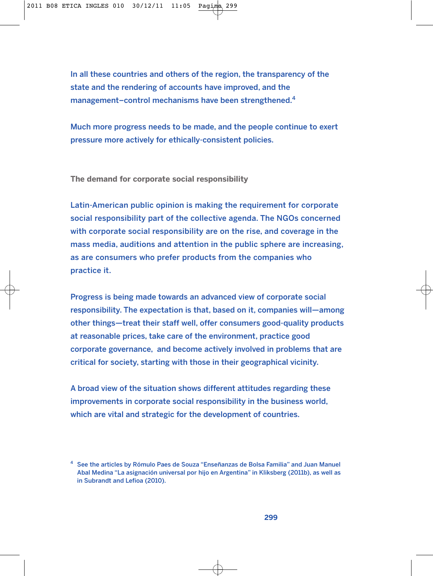In all these countries and others of the region, the transparency of the state and the rendering of accounts have improved, and the management–control mechanisms have been strengthened.<sup>4</sup>

Much more progress needs to be made, and the people continue to exert pressure more actively for ethically-consistent policies.

**The demand for corporate social responsibility**

Latin-American public opinion is making the requirement for corporate social responsibility part of the collective agenda. The NGOs concerned with corporate social responsibility are on the rise, and coverage in the mass media, auditions and attention in the public sphere are increasing, as are consumers who prefer products from the companies who practice it.

Progress is being made towards an advanced view of corporate social responsibility. The expectation is that, based on it, companies will—among other things—treat their staff well, offer consumers good-quality products at reasonable prices, take care of the environment, practice good corporate governance, and become actively involved in problems that are critical for society, starting with those in their geographical vicinity.

A broad view of the situation shows different attitudes regarding these improvements in corporate social responsibility in the business world, which are vital and strategic for the development of countries.

<sup>4</sup> See the articles by Rómulo Paes de Souza "Enseñanzas de Bolsa Familia" and Juan Manuel Abal Medina "La asignación universal por hijo en Argentina" in Kliksberg (2011b), as well as in Subrandt and Lefioa (2010).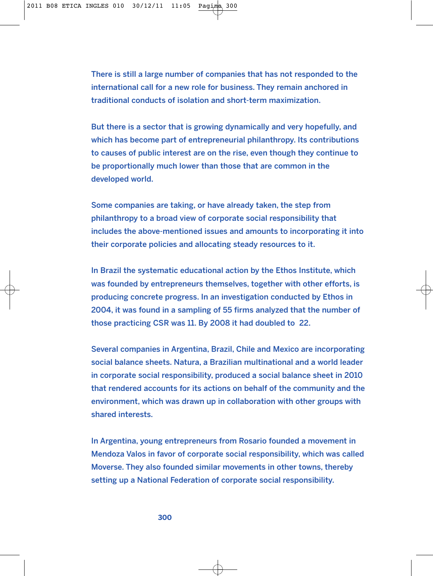There is still a large number of companies that has not responded to the international call for a new role for business. They remain anchored in traditional conducts of isolation and short-term maximization.

But there is a sector that is growing dynamically and very hopefully, and which has become part of entrepreneurial philanthropy. Its contributions to causes of public interest are on the rise, even though they continue to be proportionally much lower than those that are common in the developed world.

Some companies are taking, or have already taken, the step from philanthropy to a broad view of corporate social responsibility that includes the above-mentioned issues and amounts to incorporating it into their corporate policies and allocating steady resources to it.

In Brazil the systematic educational action by the Ethos Institute, which was founded by entrepreneurs themselves, together with other efforts, is producing concrete progress. In an investigation conducted by Ethos in 2004, it was found in a sampling of 55 firms analyzed that the number of those practicing CSR was 11. By 2008 it had doubled to 22.

Several companies in Argentina, Brazil, Chile and Mexico are incorporating social balance sheets. Natura, a Brazilian multinational and a world leader in corporate social responsibility, produced a social balance sheet in 2010 that rendered accounts for its actions on behalf of the community and the environment, which was drawn up in collaboration with other groups with shared interests.

In Argentina, young entrepreneurs from Rosario founded a movement in Mendoza Valos in favor of corporate social responsibility, which was called Moverse. They also founded similar movements in other towns, thereby setting up a National Federation of corporate social responsibility.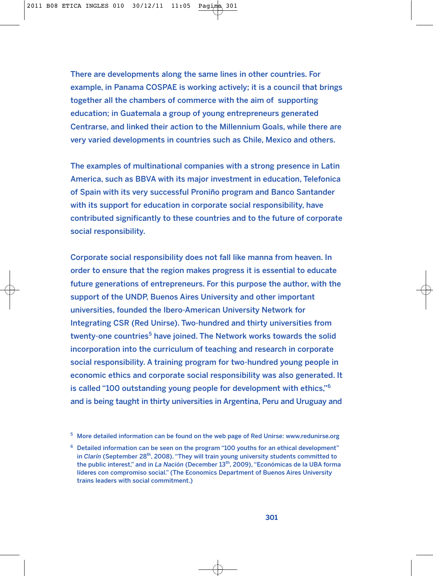There are developments along the same lines in other countries. For example, in Panama COSPAE is working actively; it is a council that brings together all the chambers of commerce with the aim of supporting education; in Guatemala a group of young entrepreneurs generated Centrarse, and linked their action to the Millennium Goals, while there are very varied developments in countries such as Chile, Mexico and others.

The examples of multinational companies with a strong presence in Latin America, such as BBVA with its major investment in education, Telefonica of Spain with its very successful Proniño program and Banco Santander with its support for education in corporate social responsibility, have contributed significantly to these countries and to the future of corporate social responsibility.

Corporate social responsibility does not fall like manna from heaven. In order to ensure that the region makes progress it is essential to educate future generations of entrepreneurs. For this purpose the author, with the support of the UNDP, Buenos Aires University and other important universities, founded the Ibero-American University Network for Integrating CSR (Red Unirse). Two-hundred and thirty universities from twenty-one countries<sup>5</sup> have joined. The Network works towards the solid incorporation into the curriculum of teaching and research in corporate social responsibility. A training program for two-hundred young people in economic ethics and corporate social responsibility was also generated. It is called "100 outstanding young people for development with ethics,"<sup>6</sup> and is being taught in thirty universities in Argentina, Peru and Uruguay and

<sup>5</sup> More detailed information can be found on the web page of Red Unirse: www.redunirse.org

 $6$  Detailed information can be seen on the program "100 youths for an ethical development" in *Clarín* (September 28<sup>th</sup>, 2008). "They will train young university students committed to the public interest," and in *La Nación* (December 13th, 2009), "Económicas de la UBA forma líderes con compromiso social." (The Economics Department of Buenos Aires University trains leaders with social commitment.)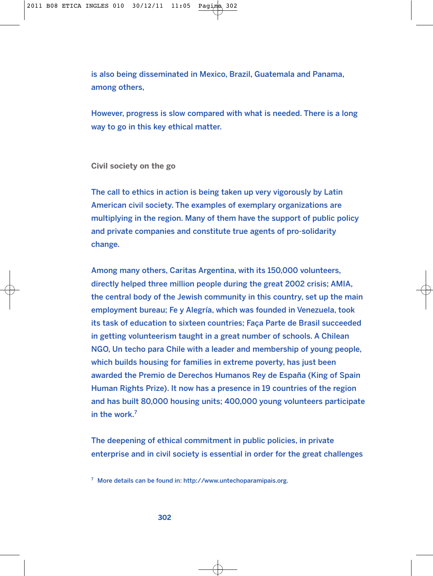is also being disseminated in Mexico, Brazil, Guatemala and Panama, among others,

However, progress is slow compared with what is needed. There is a long way to go in this key ethical matter.

**Civil society on the go**

The call to ethics in action is being taken up very vigorously by Latin American civil society. The examples of exemplary organizations are multiplying in the region. Many of them have the support of public policy and private companies and constitute true agents of pro-solidarity change.

Among many others, Caritas Argentina, with its 150,000 volunteers, directly helped three million people during the great 2002 crisis; AMIA, the central body of the Jewish community in this country, set up the main employment bureau; Fe y Alegría, which was founded in Venezuela, took its task of education to sixteen countries; Faça Parte de Brasil succeeded in getting volunteerism taught in a great number of schools. A Chilean NGO, Un techo para Chile with a leader and membership of young people, which builds housing for families in extreme poverty, has just been awarded the Premio de Derechos Humanos Rey de España (King of Spain Human Rights Prize). It now has a presence in 19 countries of the region and has built 80,000 housing units; 400,000 young volunteers participate in the work. $<sup>7</sup>$ </sup>

The deepening of ethical commitment in public policies, in private enterprise and in civil society is essential in order for the great challenges

<sup>7</sup> More details can be found in: http://www.untechoparamipais.org.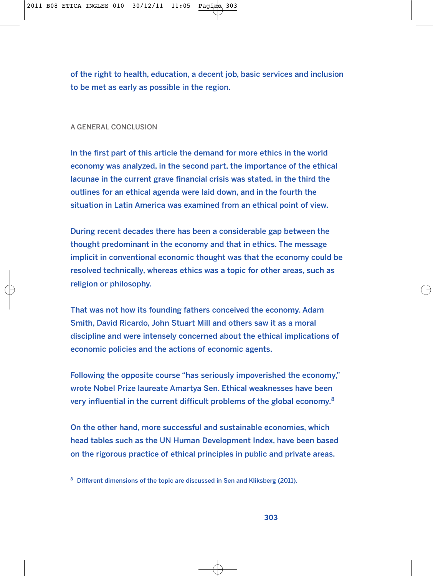of the right to health, education, a decent job, basic services and inclusion to be met as early as possible in the region.

#### A GENERAL CONCLUSION

In the first part of this article the demand for more ethics in the world economy was analyzed, in the second part, the importance of the ethical lacunae in the current grave financial crisis was stated, in the third the outlines for an ethical agenda were laid down, and in the fourth the situation in Latin America was examined from an ethical point of view.

During recent decades there has been a considerable gap between the thought predominant in the economy and that in ethics. The message implicit in conventional economic thought was that the economy could be resolved technically, whereas ethics was a topic for other areas, such as religion or philosophy.

That was not how its founding fathers conceived the economy. Adam Smith, David Ricardo, John Stuart Mill and others saw it as a moral discipline and were intensely concerned about the ethical implications of economic policies and the actions of economic agents.

Following the opposite course "has seriously impoverished the economy," wrote Nobel Prize laureate Amartya Sen. Ethical weaknesses have been very influential in the current difficult problems of the global economy.<sup>8</sup>

On the other hand, more successful and sustainable economies, which head tables such as the UN Human Development Index, have been based on the rigorous practice of ethical principles in public and private areas.

<sup>&</sup>lt;sup>8</sup> Different dimensions of the topic are discussed in Sen and Kliksberg (2011).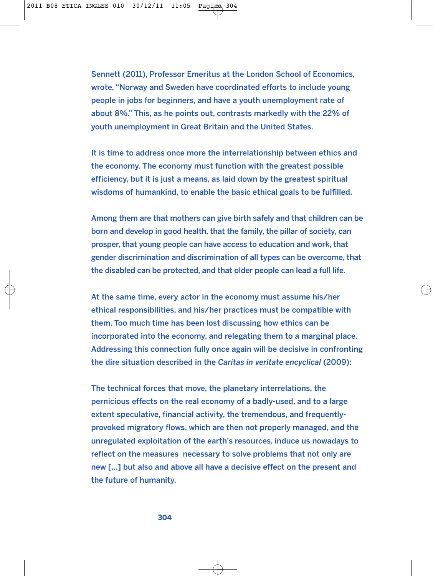Sennett (2011), Professor Emeritus at the London School of Economics, wrote, "Norway and Sweden have coordinated efforts to include young people in jobs for beginners, and have a youth unemployment rate of about 8%." This, as he points out, contrasts markedly with the 22% of youth unemployment in Great Britain and the United States.

It is time to address once more the interrelationship between ethics and the economy. The economy must function with the greatest possible efficiency, but it is just a means, as laid down by the greatest spiritual wisdoms of humankind, to enable the basic ethical goals to be fulfilled.

Among them are that mothers can give birth safely and that children can be born and develop in good health, that the family, the pillar of society, can prosper, that young people can have access to education and work, that gender discrimination and discrimination of all types can be overcome, that the disabled can be protected, and that older people can lead a full life.

At the same time, every actor in the economy must assume his/her ethical responsibilities, and his/her practices must be compatible with them. Too much time has been lost discussing how ethics can be incorporated into the economy, and relegating them to a marginal place. Addressing this connection fully once again will be decisive in confronting the dire situation described in the *Caritas in veritate encyclical* (2009):

The technical forces that move, the planetary interrelations, the pernicious effects on the real economy of a badly-used, and to a large extent speculative, financial activity, the tremendous, and frequentlyprovoked migratory flows, which are then not properly managed, and the unregulated exploitation of the earth's resources, induce us nowadays to reflect on the measures necessary to solve problems that not only are new […] but also and above all have a decisive effect on the present and the future of humanity.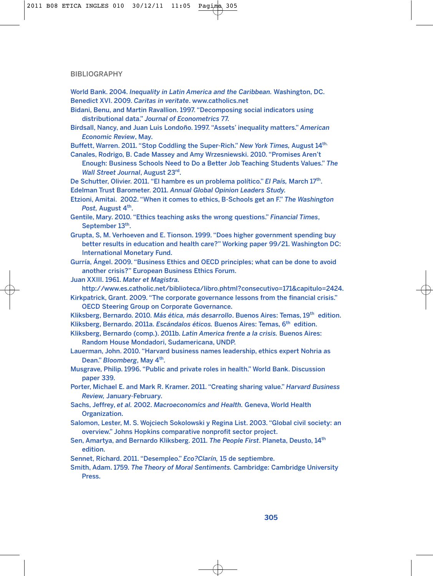#### BIBLIOGRAPHY

- World Bank. 2004. *Inequality in Latin America and the Caribbean.* Washington, DC. Benedict XVI. 2009. *Caritas in veritate*. www.catholics.net
- Bidani, Benu, and Martin Ravallion. 1997. "Decomposing social indicators using distributional data." *Journal of Econometrics* 77.
- Birdsall, Nancy, and Juan Luis Londoño. 1997. "Assets' inequality matters." *American Economic Review*, May.

Buffett, Warren. 2011. "Stop Coddling the Super-Rich." *New York Times,* August 14th.

- Canales, Rodrigo, B. Cade Massey and Amy Wrzesniewski. 2010. "Promises Aren't Enough: Business Schools Need to Do a Better Job Teaching Students Values." *The Wall Street Journal*, August 23rd.
- De Schutter, Olivier. 2011. "El hambre es un problema político." *El País,* March 17th. Edelman Trust Barometer. 2011. *Annual Global Opinion Leaders Study.*
- Etzioni, Amitai. 2002. "When it comes to ethics, B-Schools get an F." *The Washington* Post, August 4<sup>th</sup>.
- Gentile, Mary. 2010. "Ethics teaching asks the wrong questions." *Financial Times*, September 13<sup>th</sup>.
- Grupta, S, M. Verhoeven and E. Tionson. 1999. "Does higher government spending buy better results in education and health care?" Working paper 99/21. Washington DC: International Monetary Fund.
- Gurría, Ángel. 2009. "Business Ethics and OECD principles; what can be done to avoid another crisis?" European Business Ethics Forum.
- Juan XXIII. 1961. *Mater et Magistra.*

http://www.es.catholic.net/biblioteca/libro.phtml?consecutivo=171&capitulo=2424.

- Kirkpatrick, Grant. 2009. "The corporate governance lessons from the financial crisis." OECD Steering Group on Corporate Governance.
- Kliksberg, Bernardo. 2010. *Más ética, más desarrollo*. Buenos Aires: Temas, 19th edition. Kliksberg, Bernardo. 2011a. *Escándalos éticos.* Buenos Aires: Temas, 6th edition.
- Kliksberg, Bernardo (comp.). 2011b. *Latin America frente a la crisis.* Buenos Aires: Random House Mondadori, Sudamericana, UNDP.
- Lauerman, John. 2010. "Harvard business names leadership, ethics expert Nohria as Dean." Bloomberg, May 4<sup>th</sup>.
- Musgrave, Philip. 1996. "Public and private roles in health." World Bank. Discussion paper 339.
- Porter, Michael E. and Mark R. Kramer. 2011. "Creating sharing value." *Harvard Business Review,* January-February.
- Sachs, Jeffrey, *et al.* 2002. *Macroeconomícs and Health.* Geneva, World Health Organization.
- Salomon, Lester, M. S. Wojciech Sokolowski y Regina List. 2003. "Global civil society: an overview." Johns Hopkins comparative nonprofit sector project.
- Sen, Amartya, and Bernardo Kliksberg. 2011. *The People First*. Planeta, Deusto, 14th edition.
- Sennet, Richard. 2011. "Desempleo." *Eco?Clarín,* 15 de septiembre.
- Smith, Adam. 1759. *The Theory of Moral Sentiments.* Cambridge: Cambridge University Press.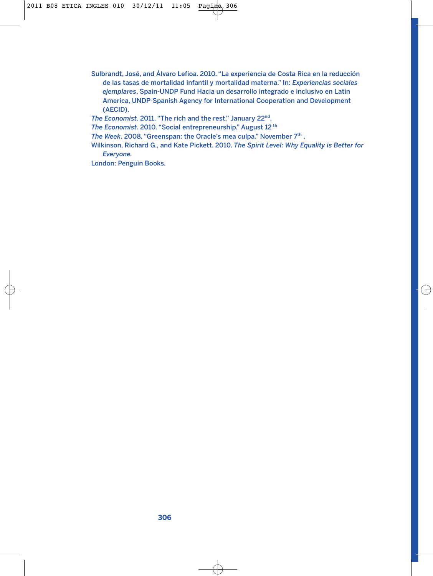Sulbrandt, José, and Álvaro Lefioa. 2010. "La experiencia de Costa Rica en la reducción de las tasas de mortalidad infantil y mortalidad materna." In: *Experiencias sociales ejemplares*, Spain-UNDP Fund Hacia un desarrollo integrado e inclusivo en Latin America, UNDP-Spanish Agency for International Cooperation and Development (AECID).

*The Economist*. 2011. "The rich and the rest." January 22nd.

*The Economist*. 2010. "Social entrepreneurship." August 12 th

*The Week.* 2008. "Greenspan: the Oracle's mea culpa." November 7<sup>th</sup>.

Wilkinson, Richard G., and Kate Pickett. 2010. *The Spirit Level: Why Equality is Better for Everyone.*

London: Penguin Books.